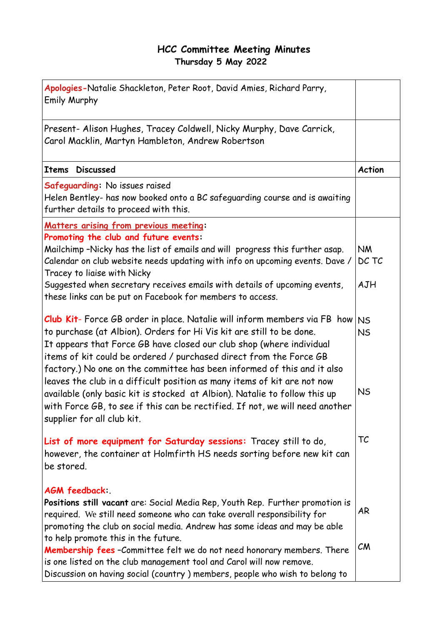## **HCC Committee Meeting Minutes Thursday 5 May 2022**

| Apologies-Natalie Shackleton, Peter Root, David Amies, Richard Parry,<br><b>Emily Murphy</b>                                                                                                                                                                                                                                                                                                                                                                                                                                                                                                                                                       |                                     |
|----------------------------------------------------------------------------------------------------------------------------------------------------------------------------------------------------------------------------------------------------------------------------------------------------------------------------------------------------------------------------------------------------------------------------------------------------------------------------------------------------------------------------------------------------------------------------------------------------------------------------------------------------|-------------------------------------|
| Present- Alison Hughes, Tracey Coldwell, Nicky Murphy, Dave Carrick,<br>Carol Macklin, Martyn Hambleton, Andrew Robertson                                                                                                                                                                                                                                                                                                                                                                                                                                                                                                                          |                                     |
| <b>Discussed</b><br><b>Items</b>                                                                                                                                                                                                                                                                                                                                                                                                                                                                                                                                                                                                                   | <b>Action</b>                       |
| Safeguarding: No issues raised<br>Helen Bentley- has now booked onto a BC safeguarding course and is awaiting<br>further details to proceed with this.                                                                                                                                                                                                                                                                                                                                                                                                                                                                                             |                                     |
| Matters arising from previous meeting:<br>Promoting the club and future events:<br>Mailchimp -Nicky has the list of emails and will progress this further asap.<br>Calendar on club website needs updating with info on upcoming events. Dave /<br>Tracey to liaise with Nicky<br>Suggested when secretary receives emails with details of upcoming events,<br>these links can be put on Facebook for members to access.                                                                                                                                                                                                                           | <b>NM</b><br>DC TC<br>AJH           |
| Club Kit- Force GB order in place. Natalie will inform members via FB how<br>to purchase (at Albion). Orders for Hi Vis kit are still to be done.<br>It appears that Force GB have closed our club shop (where individual<br>items of kit could be ordered / purchased direct from the Force GB<br>factory.) No one on the committee has been informed of this and it also<br>leaves the club in a difficult position as many items of kit are not now<br>available (only basic kit is stocked at Albion). Natalie to follow this up<br>with Force GB, to see if this can be rectified. If not, we will need another<br>supplier for all club kit. | <b>NS</b><br><b>NS</b><br><b>NS</b> |
| List of more equipment for Saturday sessions: Tracey still to do,<br>however, the container at Holmfirth HS needs sorting before new kit can<br>be stored.                                                                                                                                                                                                                                                                                                                                                                                                                                                                                         | TC                                  |
| AGM feedback:<br>Positions still vacant are: Social Media Rep, Youth Rep. Further promotion is<br>required. We still need someone who can take overall responsibility for<br>promoting the club on social media. Andrew has some ideas and may be able<br>to help promote this in the future.                                                                                                                                                                                                                                                                                                                                                      | AR                                  |
| <b>Membership fees</b> - Committee felt we do not need honorary members. There<br>is one listed on the club management tool and Carol will now remove.<br>Discussion on having social (country) members, people who wish to belong to                                                                                                                                                                                                                                                                                                                                                                                                              | CM                                  |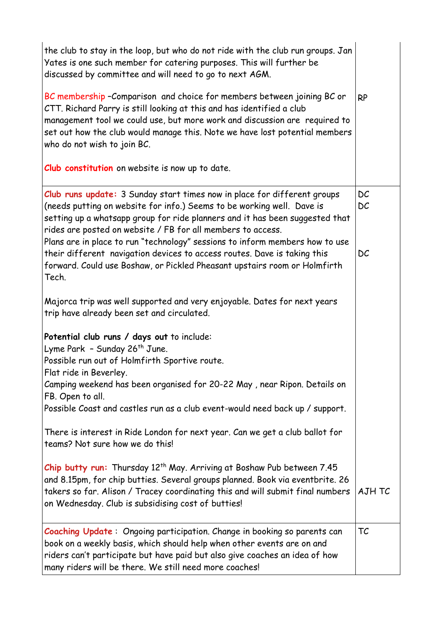| the club to stay in the loop, but who do not ride with the club run groups. Jan<br>Yates is one such member for catering purposes. This will further be<br>discussed by committee and will need to go to next AGM.<br>BC membership-Comparison and choice for members between joining BC or<br>CTT. Richard Parry is still looking at this and has identified a club<br>management tool we could use, but more work and discussion are required to<br>set out how the club would manage this. Note we have lost potential members<br>who do not wish to join BC.<br>Club constitution on website is now up to date. | <b>RP</b> |
|---------------------------------------------------------------------------------------------------------------------------------------------------------------------------------------------------------------------------------------------------------------------------------------------------------------------------------------------------------------------------------------------------------------------------------------------------------------------------------------------------------------------------------------------------------------------------------------------------------------------|-----------|
|                                                                                                                                                                                                                                                                                                                                                                                                                                                                                                                                                                                                                     |           |
| Club runs update: 3 Sunday start times now in place for different groups<br>(needs putting on website for info.) Seems to be working well. Dave is<br>setting up a whatsapp group for ride planners and it has been suggested that<br>rides are posted on website / FB for all members to access.<br>Plans are in place to run "technology" sessions to inform members how to use                                                                                                                                                                                                                                   | DC<br>DC  |
| their different navigation devices to access routes. Dave is taking this<br>forward. Could use Boshaw, or Pickled Pheasant upstairs room or Holmfirth<br>Tech.                                                                                                                                                                                                                                                                                                                                                                                                                                                      | DC        |
| Majorca trip was well supported and very enjoyable. Dates for next years<br>trip have already been set and circulated.                                                                                                                                                                                                                                                                                                                                                                                                                                                                                              |           |
| Potential club runs / days out to include:<br>Lyme Park - Sunday 26 <sup>th</sup> June.<br>Possible run out of Holmfirth Sportive route.                                                                                                                                                                                                                                                                                                                                                                                                                                                                            |           |
| Flat ride in Beverley.<br>Camping weekend has been organised for 20-22 May, near Ripon. Details on<br>FB. Open to all.                                                                                                                                                                                                                                                                                                                                                                                                                                                                                              |           |
| Possible Coast and castles run as a club event-would need back up / support.                                                                                                                                                                                                                                                                                                                                                                                                                                                                                                                                        |           |
| There is interest in Ride London for next year. Can we get a club ballot for<br>teams? Not sure how we do this!                                                                                                                                                                                                                                                                                                                                                                                                                                                                                                     |           |
| Chip butty run: Thursday 12 <sup>th</sup> May. Arriving at Boshaw Pub between 7.45<br>and 8.15pm, for chip butties. Several groups planned. Book via eventbrite. 26<br>takers so far. Alison / Tracey coordinating this and will submit final numbers<br>on Wednesday. Club is subsidising cost of butties!                                                                                                                                                                                                                                                                                                         | AJH TC    |
| <b>Coaching Update:</b> Ongoing participation. Change in booking so parents can<br>book on a weekly basis, which should help when other events are on and<br>riders can't participate but have paid but also give coaches an idea of how<br>many riders will be there. We still need more coaches!                                                                                                                                                                                                                                                                                                                  | TC        |